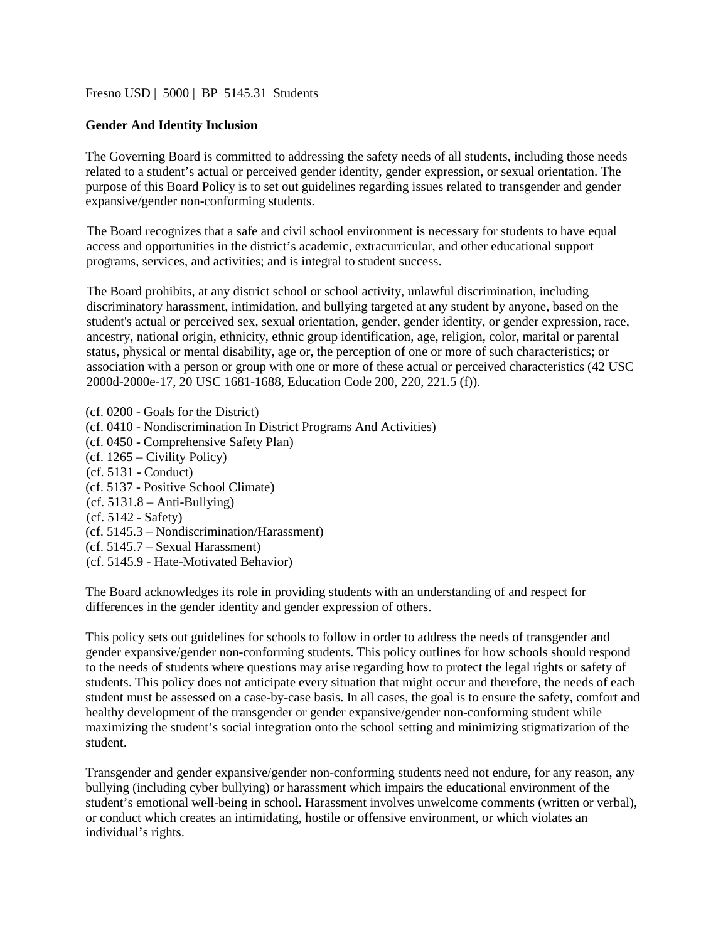[Fresno USD](http://www.fresnounified.org/board/policies/Policies/fusd/loaddistrictpolicy/1050.htm) | [5000](http://www.fresnounified.org/board/policies/Policies/fusd/policycategorylist/1050/5.htm) | BP 5145.31 Students

## **Gender And Identity Inclusion**

The Governing Board is committed to addressing the safety needs of all students, including those needs related to a student's actual or perceived gender identity, gender expression, or sexual orientation. The purpose of this Board Policy is to set out guidelines regarding issues related to transgender and gender expansive/gender non-conforming students.

The Board recognizes that a safe and civil school environment is necessary for students to have equal access and opportunities in the district's academic, extracurricular, and other educational support programs, services, and activities; and is integral to student success.

The Board prohibits, at any district school or school activity, unlawful discrimination, including discriminatory harassment, intimidation, and bullying targeted at any student by anyone, based on the student's actual or perceived sex, sexual orientation, gender, gender identity, or gender expression, race, ancestry, national origin, ethnicity, ethnic group identification, age, religion, color, marital or parental status, physical or mental disability, age or, the perception of one or more of such characteristics; or association with a person or group with one or more of these actual or perceived characteristics (42 USC 2000d-2000e-17, 20 USC 1681-1688, Education Code 200, 220, 221.5 (f)).

(cf. 0200 - Goals for the District) (cf. 0410 - Nondiscrimination In District Programs And Activities) (cf. [0450](http://www.fresnounified.org/board/policies/Policies/fusd/displaypolicy/220946/5.htm) - Comprehensive Safety Plan) (cf. 1265 – Civility Policy) (cf. 5131 - Conduct) (cf. 5137 - Positive School Climate)  $(cf. 5131.8 - Anti-Bullying)$ (cf. 5142 - Safety) (cf. 5145.3 – Nondiscrimination/Harassment) (cf. 5145.7 – Sexual Harassment) (cf. 5145.9 - Hate-Motivated Behavior)

The Board acknowledges its role in providing students with an understanding of and respect for differences in the gender identity and gender expression of others.

This policy sets out guidelines for schools to follow in order to address the needs of transgender and gender expansive/gender non-conforming students. This policy outlines for how schools should respond to the needs of students where questions may arise regarding how to protect the legal rights or safety of students. This policy does not anticipate every situation that might occur and therefore, the needs of each student must be assessed on a case-by-case basis. In all cases, the goal is to ensure the safety, comfort and healthy development of the transgender or gender expansive/gender non-conforming student while maximizing the student's social integration onto the school setting and minimizing stigmatization of the student.

Transgender and gender expansive/gender non-conforming students need not endure, for any reason, any bullying (including cyber bullying) or harassment which impairs the educational environment of the student's emotional well-being in school. Harassment involves unwelcome comments (written or verbal), or conduct which creates an intimidating, hostile or offensive environment, or which violates an individual's rights.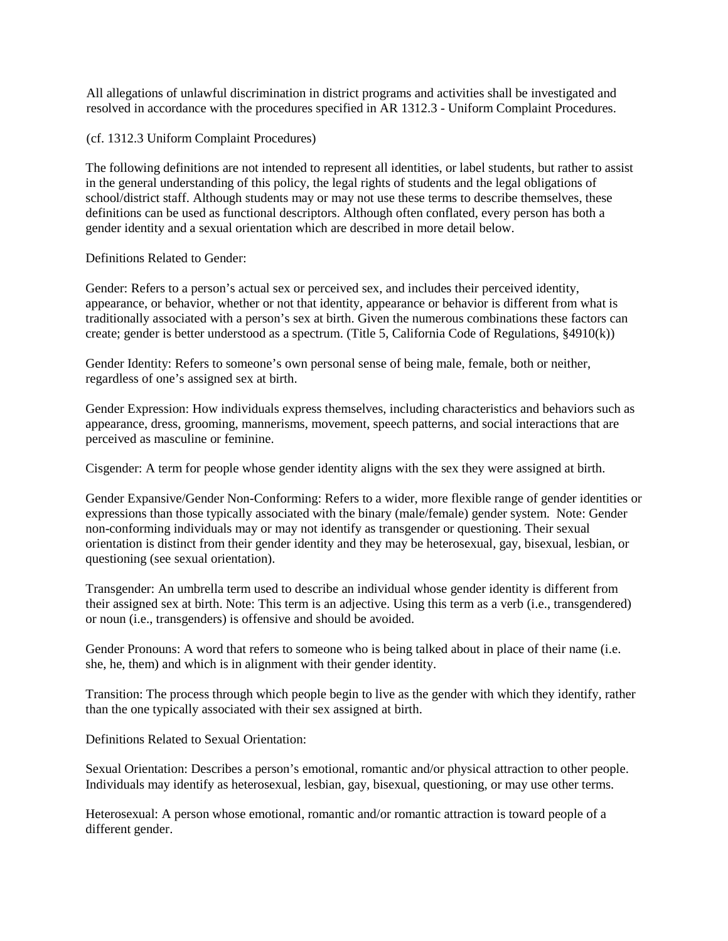All allegations of unlawful discrimination in district programs and activities shall be investigated and resolved in accordance with the procedures specified in AR 1312.3 - Uniform Complaint Procedures.

(cf. 1312.3 Uniform Complaint Procedures)

The following definitions are not intended to represent all identities, or label students, but rather to assist in the general understanding of this policy, the legal rights of students and the legal obligations of school/district staff. Although students may or may not use these terms to describe themselves, these definitions can be used as functional descriptors. Although often conflated, every person has both a gender identity and a sexual orientation which are described in more detail below.

## Definitions Related to Gender:

Gender: Refers to a person's actual sex or perceived sex, and includes their perceived identity, appearance, or behavior, whether or not that identity, appearance or behavior is different from what is traditionally associated with a person's sex at birth. Given the numerous combinations these factors can create; gender is better understood as a spectrum. (Title 5, California Code of Regulations, §4910(k))

Gender Identity: Refers to someone's own personal sense of being male, female, both or neither, regardless of one's assigned sex at birth.

Gender Expression: How individuals express themselves, including characteristics and behaviors such as appearance, dress, grooming, mannerisms, movement, speech patterns, and social interactions that are perceived as masculine or feminine.

Cisgender: A term for people whose gender identity aligns with the sex they were assigned at birth.

Gender Expansive/Gender Non-Conforming: Refers to a wider, more flexible range of gender identities or expressions than those typically associated with the binary (male/female) gender system. Note: Gender non-conforming individuals may or may not identify as transgender or questioning. Their sexual orientation is distinct from their gender identity and they may be heterosexual, gay, bisexual, lesbian, or questioning (see sexual orientation).

Transgender: An umbrella term used to describe an individual whose gender identity is different from their assigned sex at birth. Note: This term is an adjective. Using this term as a verb (i.e., transgendered) or noun (i.e., transgenders) is offensive and should be avoided.

Gender Pronouns: A word that refers to someone who is being talked about in place of their name (i.e. she, he, them) and which is in alignment with their gender identity.

Transition: The process through which people begin to live as the gender with which they identify, rather than the one typically associated with their sex assigned at birth.

Definitions Related to Sexual Orientation:

Sexual Orientation: Describes a person's emotional, romantic and/or physical attraction to other people. Individuals may identify as heterosexual, lesbian, gay, bisexual, questioning, or may use other terms.

Heterosexual: A person whose emotional, romantic and/or romantic attraction is toward people of a different gender.